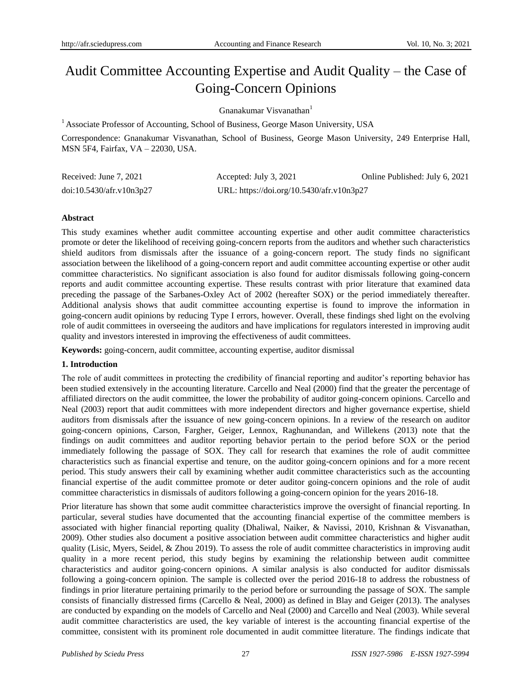# Audit Committee Accounting Expertise and Audit Quality – the Case of Going-Concern Opinions

Gnanakumar Visvanathan<sup>1</sup>

<sup>1</sup> Associate Professor of Accounting, School of Business, George Mason University, USA

Correspondence: Gnanakumar Visvanathan, School of Business, George Mason University, 249 Enterprise Hall, MSN 5F4, Fairfax, VA – 22030, USA.

| Received: June 7, 2021   | Accepted: July 3, 2021                    | Online Published: July 6, 2021 |
|--------------------------|-------------------------------------------|--------------------------------|
| doi:10.5430/afr.v10n3p27 | URL: https://doi.org/10.5430/afr.v10n3p27 |                                |

## **Abstract**

This study examines whether audit committee accounting expertise and other audit committee characteristics promote or deter the likelihood of receiving going-concern reports from the auditors and whether such characteristics shield auditors from dismissals after the issuance of a going-concern report. The study finds no significant association between the likelihood of a going-concern report and audit committee accounting expertise or other audit committee characteristics. No significant association is also found for auditor dismissals following going-concern reports and audit committee accounting expertise. These results contrast with prior literature that examined data preceding the passage of the Sarbanes-Oxley Act of 2002 (hereafter SOX) or the period immediately thereafter. Additional analysis shows that audit committee accounting expertise is found to improve the information in going-concern audit opinions by reducing Type I errors, however. Overall, these findings shed light on the evolving role of audit committees in overseeing the auditors and have implications for regulators interested in improving audit quality and investors interested in improving the effectiveness of audit committees.

**Keywords:** going-concern, audit committee, accounting expertise, auditor dismissal

## **1. Introduction**

The role of audit committees in protecting the credibility of financial reporting and auditor's reporting behavior has been studied extensively in the accounting literature. Carcello and Neal (2000) find that the greater the percentage of affiliated directors on the audit committee, the lower the probability of auditor going-concern opinions. Carcello and Neal (2003) report that audit committees with more independent directors and higher governance expertise, shield auditors from dismissals after the issuance of new going-concern opinions. In a review of the research on auditor going-concern opinions, Carson, Fargher, Geiger, Lennox, Raghunandan, and Willekens (2013) note that the findings on audit committees and auditor reporting behavior pertain to the period before SOX or the period immediately following the passage of SOX. They call for research that examines the role of audit committee characteristics such as financial expertise and tenure, on the auditor going-concern opinions and for a more recent period. This study answers their call by examining whether audit committee characteristics such as the accounting financial expertise of the audit committee promote or deter auditor going-concern opinions and the role of audit committee characteristics in dismissals of auditors following a going-concern opinion for the years 2016-18.

Prior literature has shown that some audit committee characteristics improve the oversight of financial reporting. In particular, several studies have documented that the accounting financial expertise of the committee members is associated with higher financial reporting quality (Dhaliwal, Naiker, & Navissi, 2010, Krishnan & Visvanathan, 2009). Other studies also document a positive association between audit committee characteristics and higher audit quality (Lisic, Myers, Seidel, & Zhou 2019). To assess the role of audit committee characteristics in improving audit quality in a more recent period, this study begins by examining the relationship between audit committee characteristics and auditor going-concern opinions. A similar analysis is also conducted for auditor dismissals following a going-concern opinion. The sample is collected over the period 2016-18 to address the robustness of findings in prior literature pertaining primarily to the period before or surrounding the passage of SOX. The sample consists of financially distressed firms (Carcello & Neal, 2000) as defined in Blay and Geiger (2013). The analyses are conducted by expanding on the models of Carcello and Neal (2000) and Carcello and Neal (2003). While several audit committee characteristics are used, the key variable of interest is the accounting financial expertise of the committee, consistent with its prominent role documented in audit committee literature. The findings indicate that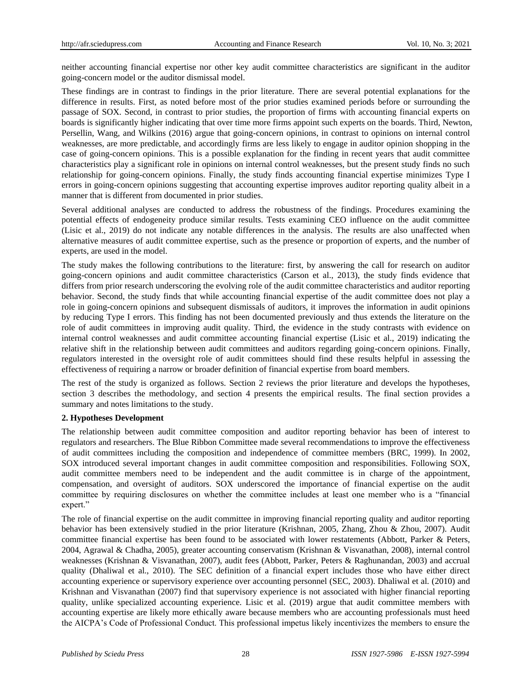neither accounting financial expertise nor other key audit committee characteristics are significant in the auditor going-concern model or the auditor dismissal model.

These findings are in contrast to findings in the prior literature. There are several potential explanations for the difference in results. First, as noted before most of the prior studies examined periods before or surrounding the passage of SOX. Second, in contrast to prior studies, the proportion of firms with accounting financial experts on boards is significantly higher indicating that over time more firms appoint such experts on the boards. Third, Newton, Persellin, Wang, and Wilkins (2016) argue that going-concern opinions, in contrast to opinions on internal control weaknesses, are more predictable, and accordingly firms are less likely to engage in auditor opinion shopping in the case of going-concern opinions. This is a possible explanation for the finding in recent years that audit committee characteristics play a significant role in opinions on internal control weaknesses, but the present study finds no such relationship for going-concern opinions. Finally, the study finds accounting financial expertise minimizes Type I errors in going-concern opinions suggesting that accounting expertise improves auditor reporting quality albeit in a manner that is different from documented in prior studies.

Several additional analyses are conducted to address the robustness of the findings. Procedures examining the potential effects of endogeneity produce similar results. Tests examining CEO influence on the audit committee (Lisic et al., 2019) do not indicate any notable differences in the analysis. The results are also unaffected when alternative measures of audit committee expertise, such as the presence or proportion of experts, and the number of experts, are used in the model.

The study makes the following contributions to the literature: first, by answering the call for research on auditor going-concern opinions and audit committee characteristics (Carson et al., 2013), the study finds evidence that differs from prior research underscoring the evolving role of the audit committee characteristics and auditor reporting behavior. Second, the study finds that while accounting financial expertise of the audit committee does not play a role in going-concern opinions and subsequent dismissals of auditors, it improves the information in audit opinions by reducing Type I errors. This finding has not been documented previously and thus extends the literature on the role of audit committees in improving audit quality. Third, the evidence in the study contrasts with evidence on internal control weaknesses and audit committee accounting financial expertise (Lisic et al., 2019) indicating the relative shift in the relationship between audit committees and auditors regarding going-concern opinions. Finally, regulators interested in the oversight role of audit committees should find these results helpful in assessing the effectiveness of requiring a narrow or broader definition of financial expertise from board members.

The rest of the study is organized as follows. Section 2 reviews the prior literature and develops the hypotheses, section 3 describes the methodology, and section 4 presents the empirical results. The final section provides a summary and notes limitations to the study.

## **2. Hypotheses Development**

The relationship between audit committee composition and auditor reporting behavior has been of interest to regulators and researchers. The Blue Ribbon Committee made several recommendations to improve the effectiveness of audit committees including the composition and independence of committee members (BRC, 1999). In 2002, SOX introduced several important changes in audit committee composition and responsibilities. Following SOX, audit committee members need to be independent and the audit committee is in charge of the appointment, compensation, and oversight of auditors. SOX underscored the importance of financial expertise on the audit committee by requiring disclosures on whether the committee includes at least one member who is a "financial expert."

The role of financial expertise on the audit committee in improving financial reporting quality and auditor reporting behavior has been extensively studied in the prior literature (Krishnan, 2005, Zhang, Zhou & Zhou, 2007). Audit committee financial expertise has been found to be associated with lower restatements (Abbott, Parker & Peters, 2004, Agrawal & Chadha, 2005), greater accounting conservatism (Krishnan & Visvanathan, 2008), internal control weaknesses (Krishnan & Visvanathan, 2007), audit fees (Abbott, Parker, Peters & Raghunandan, 2003) and accrual quality (Dhaliwal et al., 2010). The SEC definition of a financial expert includes those who have either direct accounting experience or supervisory experience over accounting personnel (SEC, 2003). Dhaliwal et al. (2010) and Krishnan and Visvanathan (2007) find that supervisory experience is not associated with higher financial reporting quality, unlike specialized accounting experience. Lisic et al. (2019) argue that audit committee members with accounting expertise are likely more ethically aware because members who are accounting professionals must heed the AICPA's Code of Professional Conduct. This professional impetus likely incentivizes the members to ensure the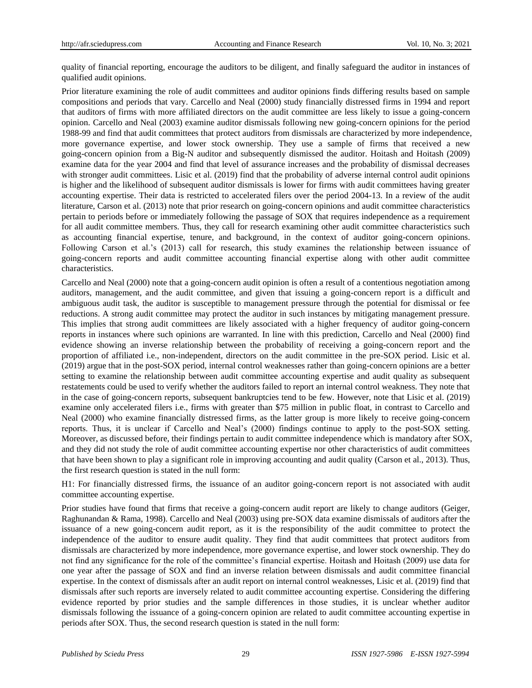quality of financial reporting, encourage the auditors to be diligent, and finally safeguard the auditor in instances of qualified audit opinions.

Prior literature examining the role of audit committees and auditor opinions finds differing results based on sample compositions and periods that vary. Carcello and Neal (2000) study financially distressed firms in 1994 and report that auditors of firms with more affiliated directors on the audit committee are less likely to issue a going-concern opinion. Carcello and Neal (2003) examine auditor dismissals following new going-concern opinions for the period 1988-99 and find that audit committees that protect auditors from dismissals are characterized by more independence, more governance expertise, and lower stock ownership. They use a sample of firms that received a new going-concern opinion from a Big-N auditor and subsequently dismissed the auditor. Hoitash and Hoitash (2009) examine data for the year 2004 and find that level of assurance increases and the probability of dismissal decreases with stronger audit committees. Lisic et al. (2019) find that the probability of adverse internal control audit opinions is higher and the likelihood of subsequent auditor dismissals is lower for firms with audit committees having greater accounting expertise. Their data is restricted to accelerated filers over the period 2004-13. In a review of the audit literature, Carson et al. (2013) note that prior research on going-concern opinions and audit committee characteristics pertain to periods before or immediately following the passage of SOX that requires independence as a requirement for all audit committee members. Thus, they call for research examining other audit committee characteristics such as accounting financial expertise, tenure, and background, in the context of auditor going-concern opinions. Following Carson et al.'s (2013) call for research, this study examines the relationship between issuance of going-concern reports and audit committee accounting financial expertise along with other audit committee characteristics.

Carcello and Neal (2000) note that a going-concern audit opinion is often a result of a contentious negotiation among auditors, management, and the audit committee, and given that issuing a going-concern report is a difficult and ambiguous audit task, the auditor is susceptible to management pressure through the potential for dismissal or fee reductions. A strong audit committee may protect the auditor in such instances by mitigating management pressure. This implies that strong audit committees are likely associated with a higher frequency of auditor going-concern reports in instances where such opinions are warranted. In line with this prediction, Carcello and Neal (2000) find evidence showing an inverse relationship between the probability of receiving a going-concern report and the proportion of affiliated i.e., non-independent, directors on the audit committee in the pre-SOX period. Lisic et al. (2019) argue that in the post-SOX period, internal control weaknesses rather than going-concern opinions are a better setting to examine the relationship between audit committee accounting expertise and audit quality as subsequent restatements could be used to verify whether the auditors failed to report an internal control weakness. They note that in the case of going-concern reports, subsequent bankruptcies tend to be few. However, note that Lisic et al. (2019) examine only accelerated filers i.e., firms with greater than \$75 million in public float, in contrast to Carcello and Neal (2000) who examine financially distressed firms, as the latter group is more likely to receive going-concern reports. Thus, it is unclear if Carcello and Neal's (2000) findings continue to apply to the post-SOX setting. Moreover, as discussed before, their findings pertain to audit committee independence which is mandatory after SOX, and they did not study the role of audit committee accounting expertise nor other characteristics of audit committees that have been shown to play a significant role in improving accounting and audit quality (Carson et al., 2013). Thus, the first research question is stated in the null form:

H1: For financially distressed firms, the issuance of an auditor going-concern report is not associated with audit committee accounting expertise.

Prior studies have found that firms that receive a going-concern audit report are likely to change auditors (Geiger, Raghunandan & Rama, 1998). Carcello and Neal (2003) using pre-SOX data examine dismissals of auditors after the issuance of a new going-concern audit report, as it is the responsibility of the audit committee to protect the independence of the auditor to ensure audit quality. They find that audit committees that protect auditors from dismissals are characterized by more independence, more governance expertise, and lower stock ownership. They do not find any significance for the role of the committee's financial expertise. Hoitash and Hoitash (2009) use data for one year after the passage of SOX and find an inverse relation between dismissals and audit committee financial expertise. In the context of dismissals after an audit report on internal control weaknesses, Lisic et al. (2019) find that dismissals after such reports are inversely related to audit committee accounting expertise. Considering the differing evidence reported by prior studies and the sample differences in those studies, it is unclear whether auditor dismissals following the issuance of a going-concern opinion are related to audit committee accounting expertise in periods after SOX. Thus, the second research question is stated in the null form: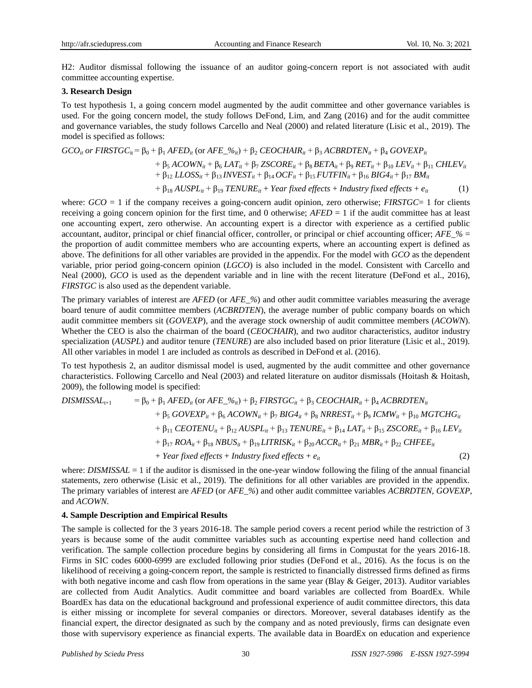H2: Auditor dismissal following the issuance of an auditor going-concern report is not associated with audit committee accounting expertise.

#### **3. Research Design**

To test hypothesis 1, a going concern model augmented by the audit committee and other governance variables is used. For the going concern model, the study follows DeFond, Lim, and Zang (2016) and for the audit committee and governance variables, the study follows Carcello and Neal (2000) and related literature (Lisic et al., 2019). The model is specified as follows:

$$
GCO_{it} \text{ or FIRSTGC}_{it} = \beta_0 + \beta_1 \text{ A FED}_{it} \text{ (or } AFE\_\%_{it}) + \beta_2 \text{ CEOCHAIR}_{it} + \beta_3 \text{ ACBRDTEN}_{it} + \beta_4 \text{ GOVEXP}_{it} + \beta_5 \text{ ACOWN}_{it} + \beta_6 \text{ LAT}_{it} + \beta_7 \text{ ZSCORE}_{it} + \beta_8 \text{ BETA}_{it} + \beta_9 \text{ RET}_{it} + \beta_{10} \text{ LEV}_{it} + \beta_{11} \text{ CHLEV}_{it} + \beta_{12} \text{ LLOSS}_{it} + \beta_{13} \text{ INVEST}_{it} + \beta_{14} \text{ OCF}_{it} + \beta_{15} \text{ FUTFIN}_{it} + \beta_{16} \text{ BIG4}_{it} + \beta_{17} \text{ BM}_{it} + \beta_{18} \text{ AUSPL}_{it} + \beta_{19} \text{ TENURE}_{it} + \text{Year fixed effects} + \text{Industry fixed effects} + e_{it}
$$
 (1)

where:  $GCO = 1$  if the company receives a going-concern audit opinion, zero otherwise; *FIRSTGC*= 1 for clients receiving a going concern opinion for the first time, and 0 otherwise; *AFED* = 1 if the audit committee has at least one accounting expert, zero otherwise. An accounting expert is a director with experience as a certified public accountant, auditor, principal or chief financial officer, controller, or principal or chief accounting officer; *AFE\_%* = the proportion of audit committee members who are accounting experts, where an accounting expert is defined as above. The definitions for all other variables are provided in the appendix. For the model with *GCO* as the dependent variable, prior period going-concern opinion (*LGCO*) is also included in the model. Consistent with Carcello and Neal (2000), *GCO* is used as the dependent variable and in line with the recent literature (DeFond et al., 2016), *FIRSTGC* is also used as the dependent variable.

The primary variables of interest are *AFED* (or *AFE\_%*) and other audit committee variables measuring the average board tenure of audit committee members (*ACBRDTEN*), the average number of public company boards on which audit committee members sit (*GOVEXP*), and the average stock ownership of audit committee members (*ACOWN*). Whether the CEO is also the chairman of the board (*CEOCHAIR*), and two auditor characteristics, auditor industry specialization (*AUSPL*) and auditor tenure (*TENURE*) are also included based on prior literature (Lisic et al., 2019). All other variables in model 1 are included as controls as described in DeFond et al. (2016).

To test hypothesis 2, an auditor dismissal model is used, augmented by the audit committee and other governance characteristics. Following Carcello and Neal (2003) and related literature on auditor dismissals (Hoitash & Hoitash, 2009), the following model is specified:

 $DISMISSAL_{t+1}$  =  $\beta_0 + \beta_1$  *AFED<sub>it</sub>* (or *AFE\_%<sub>it</sub>*) +  $\beta_2$  *FIRSTGC<sub>it</sub>* +  $\beta_3$  *CEOCHAIR<sub>it</sub>* +  $\beta_4$  *ACBRDTEN<sub>it</sub>* + β<sub>5</sub> *GOVEXP<sub>it</sub>* + β<sub>6</sub> *ACOWN<sub>it</sub>* + β<sub>7</sub> *BIG4<sub>it</sub>* + β<sub>8</sub> *NRREST<sub>it</sub>* + β<sub>9</sub> *ICMW<sub>it</sub>* + β<sub>10</sub> *MGTCHG<sub>it</sub>*  $+$  β<sub>11</sub> *CEOTENU<sub>it</sub>* + β<sub>12</sub> *AUSPL<sub>it</sub>* + β<sub>13</sub> *TENURE<sub>it</sub>* + β<sub>14</sub> *LAT<sub>it</sub>* + β<sub>15</sub> *ZSCORE<sub>it</sub>* + β<sub>16</sub> *LEV<sub>it</sub>*  $+$  β<sub>17</sub> *ROA<sub>it</sub>* + β<sub>18</sub> *NBUS<sub>it</sub>* + β<sub>19</sub> *LITRISK<sub>it</sub></sub>* + β<sub>20</sub> *ACCR<sub>it</sub>* + β<sub>21</sub> *MBR<sub>it</sub>* + β<sub>22</sub> *CHFEE<sub>it</sub>*  $+$  *Year fixed effects* + *Industry fixed effects* +  $e_i$  (2)

where: *DISMISSAL* = 1 if the auditor is dismissed in the one-year window following the filing of the annual financial statements, zero otherwise (Lisic et al., 2019). The definitions for all other variables are provided in the appendix. The primary variables of interest are *AFED* (or *AFE\_%*) and other audit committee variables *ACBRDTEN, GOVEXP*, and *ACOWN*.

#### **4. Sample Description and Empirical Results**

The sample is collected for the 3 years 2016-18. The sample period covers a recent period while the restriction of 3 years is because some of the audit committee variables such as accounting expertise need hand collection and verification. The sample collection procedure begins by considering all firms in Compustat for the years 2016-18. Firms in SIC codes 6000-6999 are excluded following prior studies (DeFond et al., 2016). As the focus is on the likelihood of receiving a going-concern report, the sample is restricted to financially distressed firms defined as firms with both negative income and cash flow from operations in the same year (Blay & Geiger, 2013). Auditor variables are collected from Audit Analytics. Audit committee and board variables are collected from BoardEx. While BoardEx has data on the educational background and professional experience of audit committee directors, this data is either missing or incomplete for several companies or directors. Moreover, several databases identify as the financial expert, the director designated as such by the company and as noted previously, firms can designate even those with supervisory experience as financial experts. The available data in BoardEx on education and experience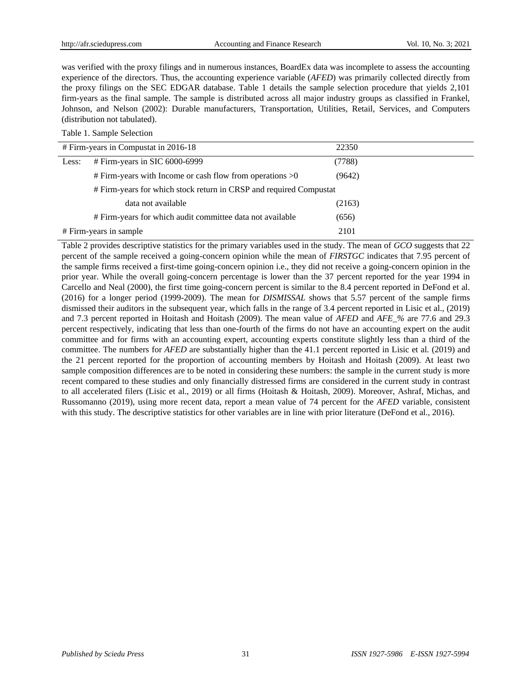was verified with the proxy filings and in numerous instances, BoardEx data was incomplete to assess the accounting experience of the directors. Thus, the accounting experience variable (*AFED*) was primarily collected directly from the proxy filings on the SEC EDGAR database. Table 1 details the sample selection procedure that yields 2,101 firm-years as the final sample. The sample is distributed across all major industry groups as classified in Frankel, Johnson, and Nelson (2002): Durable manufacturers, Transportation, Utilities, Retail, Services, and Computers (distribution not tabulated).

Table 1. Sample Selection

| # Firm-years in Compustat in 2016-18 |                                                                    | 22350  |
|--------------------------------------|--------------------------------------------------------------------|--------|
| Less:                                | # Firm-years in SIC 6000-6999                                      | (7788) |
|                                      | $\#$ Firm-years with Income or cash flow from operations $>0$      | (9642) |
|                                      | # Firm-years for which stock return in CRSP and required Compustat |        |
|                                      | data not available                                                 | (2163) |
|                                      | # Firm-years for which audit committee data not available          | (656)  |
| # Firm-years in sample               |                                                                    | 2101   |

Table 2 provides descriptive statistics for the primary variables used in the study. The mean of *GCO* suggests that 22 percent of the sample received a going-concern opinion while the mean of *FIRSTGC* indicates that 7.95 percent of the sample firms received a first-time going-concern opinion i.e., they did not receive a going-concern opinion in the prior year. While the overall going-concern percentage is lower than the 37 percent reported for the year 1994 in Carcello and Neal (2000), the first time going-concern percent is similar to the 8.4 percent reported in DeFond et al. (2016) for a longer period (1999-2009). The mean for *DISMISSAL* shows that 5.57 percent of the sample firms dismissed their auditors in the subsequent year, which falls in the range of 3.4 percent reported in Lisic et al., (2019) and 7.3 percent reported in Hoitash and Hoitash (2009). The mean value of *AFED* and *AFE\_%* are 77.6 and 29.3 percent respectively, indicating that less than one-fourth of the firms do not have an accounting expert on the audit committee and for firms with an accounting expert, accounting experts constitute slightly less than a third of the committee. The numbers for *AFED* are substantially higher than the 41.1 percent reported in Lisic et al. (2019) and the 21 percent reported for the proportion of accounting members by Hoitash and Hoitash (2009). At least two sample composition differences are to be noted in considering these numbers: the sample in the current study is more recent compared to these studies and only financially distressed firms are considered in the current study in contrast to all accelerated filers (Lisic et al., 2019) or all firms (Hoitash & Hoitash, 2009). Moreover, Ashraf, Michas, and Russomanno (2019), using more recent data, report a mean value of 74 percent for the *AFED* variable, consistent with this study. The descriptive statistics for other variables are in line with prior literature (DeFond et al., 2016).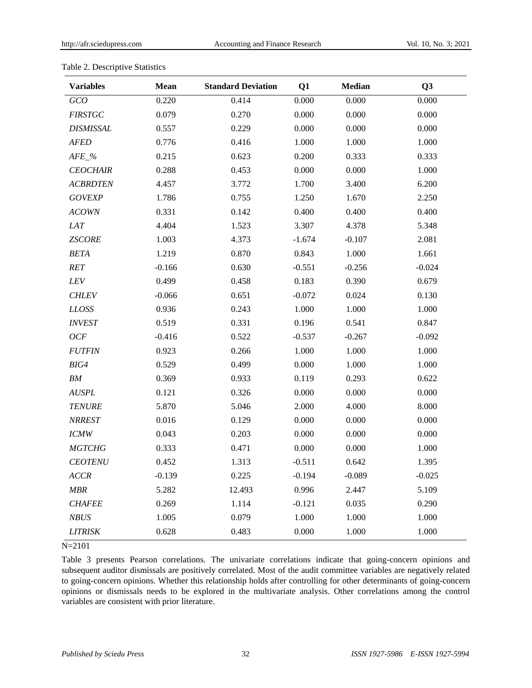| <b>Variables</b> | Mean     | <b>Standard Deviation</b> | Q1       | <b>Median</b> | Q <sub>3</sub> |
|------------------|----------|---------------------------|----------|---------------|----------------|
| GCO              | 0.220    | 0.414                     | 0.000    | 0.000         | 0.000          |
| <b>FIRSTGC</b>   | 0.079    | 0.270                     | 0.000    | 0.000         | 0.000          |
| <b>DISMISSAL</b> | 0.557    | 0.229                     | 0.000    | 0.000         | 0.000          |
| <b>AFED</b>      | 0.776    | 0.416                     | 1.000    | 1.000         | 1.000          |
| $AFE_{\_\%}$     | 0.215    | 0.623                     | 0.200    | 0.333         | 0.333          |
| <b>CEOCHAIR</b>  | 0.288    | 0.453                     | 0.000    | 0.000         | 1.000          |
| <b>ACBRDTEN</b>  | 4.457    | 3.772                     | 1.700    | 3.400         | 6.200          |
| <b>GOVEXP</b>    | 1.786    | 0.755                     | 1.250    | 1.670         | 2.250          |
| <b>ACOWN</b>     | 0.331    | 0.142                     | 0.400    | 0.400         | 0.400          |
| LAT              | 4.404    | 1.523                     | 3.307    | 4.378         | 5.348          |
| <b>ZSCORE</b>    | 1.003    | 4.373                     | $-1.674$ | $-0.107$      | 2.081          |
| <b>BETA</b>      | 1.219    | 0.870                     | 0.843    | 1.000         | 1.661          |
| RET              | $-0.166$ | 0.630                     | $-0.551$ | $-0.256$      | $-0.024$       |
| LEV              | 0.499    | 0.458                     | 0.183    | 0.390         | 0.679          |
| <b>CHLEV</b>     | $-0.066$ | 0.651                     | $-0.072$ | 0.024         | 0.130          |
| <b>LLOSS</b>     | 0.936    | 0.243                     | 1.000    | 1.000         | 1.000          |
| <b>INVEST</b>    | 0.519    | 0.331                     | 0.196    | 0.541         | 0.847          |
| OCF              | $-0.416$ | 0.522                     | $-0.537$ | $-0.267$      | $-0.092$       |
| <b>FUTFIN</b>    | 0.923    | 0.266                     | 1.000    | 1.000         | 1.000          |
| BIG4             | 0.529    | 0.499                     | 0.000    | 1.000         | 1.000          |
| ${\it BM}$       | 0.369    | 0.933                     | 0.119    | 0.293         | 0.622          |
| <b>AUSPL</b>     | 0.121    | 0.326                     | 0.000    | 0.000         | 0.000          |
| <b>TENURE</b>    | 5.870    | 5.046                     | 2.000    | 4.000         | 8.000          |
| <b>NRREST</b>    | 0.016    | 0.129                     | 0.000    | 0.000         | 0.000          |
| <b>ICMW</b>      | 0.043    | 0.203                     | 0.000    | 0.000         | 0.000          |
| <b>MGTCHG</b>    | 0.333    | 0.471                     | 0.000    | 0.000         | 1.000          |
| <b>CEOTENU</b>   | 0.452    | 1.313                     | $-0.511$ | 0.642         | 1.395          |
| <b>ACCR</b>      | $-0.139$ | 0.225                     | $-0.194$ | $-0.089$      | $-0.025$       |
| MBR              | 5.282    | 12.493                    | 0.996    | 2.447         | 5.109          |
| <b>CHAFEE</b>    | 0.269    | 1.114                     | $-0.121$ | 0.035         | 0.290          |
| <b>NBUS</b>      | 1.005    | 0.079                     | 1.000    | 1.000         | 1.000          |
| <b>LITRISK</b>   | 0.628    | 0.483                     | 0.000    | 1.000         | 1.000          |

## Table 2. Descriptive Statistics

N=2101

Table 3 presents Pearson correlations. The univariate correlations indicate that going-concern opinions and subsequent auditor dismissals are positively correlated. Most of the audit committee variables are negatively related to going-concern opinions. Whether this relationship holds after controlling for other determinants of going-concern opinions or dismissals needs to be explored in the multivariate analysis. Other correlations among the control variables are consistent with prior literature.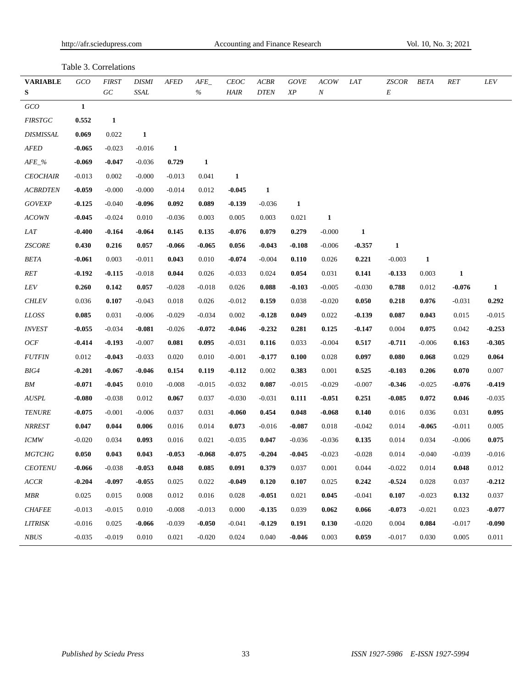http://afr.sciedupress.com Accounting and Finance Research Vol. 10, No. 3; 2021

Table 3. Correlations

| <b>VARIABLE</b>  | GCO          | <b>FIRST</b> | <b>DISMI</b> | <b>AFED</b> | AFE          | <b>CEOC</b>  | <b>ACBR</b> | <b>GOVE</b>   | <b>ACOW</b>      | <i>LAT</i> | <i>ZSCOR</i> | <b>BETA</b>  | <b>RET</b>   | LEV          |
|------------------|--------------|--------------|--------------|-------------|--------------|--------------|-------------|---------------|------------------|------------|--------------|--------------|--------------|--------------|
| ${\bf S}$        |              | G C          | SSAL         |             | $\%$         | <b>HAIR</b>  | <b>DTEN</b> | $\mathbb{X}P$ | $\boldsymbol{N}$ |            | E            |              |              |              |
| <b>GCO</b>       | $\mathbf{1}$ |              |              |             |              |              |             |               |                  |            |              |              |              |              |
| <b>FIRSTGC</b>   | 0.552        | $\mathbf{1}$ |              |             |              |              |             |               |                  |            |              |              |              |              |
| <b>DISMISSAL</b> | 0.069        | 0.022        | $\mathbf{1}$ |             |              |              |             |               |                  |            |              |              |              |              |
| AFED             | $-0.065$     | $-0.023$     | $-0.016$     | 1           |              |              |             |               |                  |            |              |              |              |              |
| $AFE_{-}\%$      | $-0.069$     | $-0.047$     | $-0.036$     | 0.729       | $\mathbf{1}$ |              |             |               |                  |            |              |              |              |              |
| <b>CEOCHAIR</b>  | $-0.013$     | 0.002        | $-0.000$     | $-0.013$    | 0.041        | $\mathbf{1}$ |             |               |                  |            |              |              |              |              |
| <b>ACBRDTEN</b>  | $-0.059$     | $-0.000$     | $-0.000$     | $-0.014$    | 0.012        | $-0.045$     | 1           |               |                  |            |              |              |              |              |
| <b>GOVEXP</b>    | $-0.125$     | $-0.040$     | $-0.096$     | 0.092       | 0.089        | $-0.139$     | $-0.036$    | $\mathbf{1}$  |                  |            |              |              |              |              |
| ACOWN            | $-0.045$     | $-0.024$     | 0.010        | $-0.036$    | 0.003        | 0.005        | 0.003       | 0.021         | $\mathbf{1}$     |            |              |              |              |              |
| LAT              | $-0.400$     | $-0.164$     | $-0.064$     | 0.145       | 0.135        | $-0.076$     | 0.079       | 0.279         | $-0.000$         | 1          |              |              |              |              |
| <b>ZSCORE</b>    | 0.430        | 0.216        | 0.057        | $-0.066$    | $-0.065$     | 0.056        | $-0.043$    | $-0.108$      | $-0.006$         | $-0.357$   | $\mathbf{1}$ |              |              |              |
| BETA             | $-0.061$     | 0.003        | $-0.011$     | 0.043       | 0.010        | $-0.074$     | $-0.004$    | 0.110         | 0.026            | 0.221      | $-0.003$     | $\mathbf{1}$ |              |              |
| RET              | $-0.192$     | $-0.115$     | $-0.018$     | 0.044       | 0.026        | $-0.033$     | 0.024       | 0.054         | 0.031            | 0.141      | $-0.133$     | 0.003        | $\mathbf{1}$ |              |
| LEV              | 0.260        | 0.142        | 0.057        | $-0.028$    | $-0.018$     | 0.026        | 0.088       | $-0.103$      | $-0.005$         | $-0.030$   | 0.788        | 0.012        | $-0.076$     | $\mathbf{1}$ |
| <b>CHLEV</b>     | 0.036        | 0.107        | $-0.043$     | 0.018       | 0.026        | $-0.012$     | 0.159       | 0.038         | $-0.020$         | 0.050      | 0.218        | 0.076        | $-0.031$     | 0.292        |
| LLOSS            | 0.085        | 0.031        | $-0.006$     | $-0.029$    | $-0.034$     | 0.002        | $-0.128$    | 0.049         | 0.022            | -0.139     | 0.087        | 0.043        | 0.015        | $-0.015$     |
| <b>INVEST</b>    | $-0.055$     | $-0.034$     | $-0.081$     | $-0.026$    | $-0.072$     | $-0.046$     | $-0.232$    | 0.281         | 0.125            | $-0.147$   | 0.004        | 0.075        | 0.042        | $-0.253$     |
| OCF              | $-0.414$     | $-0.193$     | $-0.007$     | 0.081       | 0.095        | $-0.031$     | 0.116       | 0.033         | $-0.004$         | 0.517      | $-0.711$     | $-0.006$     | 0.163        | $-0.305$     |
| <b>FUTFIN</b>    | 0.012        | $-0.043$     | $-0.033$     | 0.020       | 0.010        | $-0.001$     | $-0.177$    | 0.100         | 0.028            | 0.097      | 0.080        | 0.068        | 0.029        | 0.064        |
| $BIG4$           | $-0.201$     | $-0.067$     | $-0.046$     | 0.154       | 0.119        | $-0.112$     | 0.002       | 0.383         | 0.001            | 0.525      | $-0.103$     | 0.206        | 0.070        | 0.007        |
| ${\it BM}$       | $-0.071$     | $-0.045$     | 0.010        | $-0.008$    | $-0.015$     | $-0.032$     | 0.087       | $-0.015$      | $-0.029$         | $-0.007$   | $-0.346$     | $-0.025$     | $-0.076$     | $-0.419$     |
| AUSPL            | $-0.080$     | $-0.038$     | 0.012        | 0.067       | 0.037        | $-0.030$     | $-0.031$    | 0.111         | $-0.051$         | 0.251      | $-0.085$     | 0.072        | 0.046        | $-0.035$     |
| <b>TENURE</b>    | $-0.075$     | $-0.001$     | $-0.006$     | 0.037       | 0.031        | $-0.060$     | 0.454       | 0.048         | $-0.068$         | 0.140      | 0.016        | 0.036        | 0.031        | 0.095        |
| <b>NRREST</b>    | 0.047        | 0.044        | 0.006        | 0.016       | 0.014        | 0.073        | $-0.016$    | $-0.087$      | 0.018            | $-0.042$   | 0.014        | $-0.065$     | $-0.011$     | 0.005        |
| <b>ICMW</b>      | $-0.020$     | 0.034        | 0.093        | 0.016       | 0.021        | $-0.035$     | 0.047       | $-0.036$      | $-0.036$         | 0.135      | 0.014        | 0.034        | $-0.006$     | 0.075        |
| <b>MGTCHG</b>    | 0.050        | 0.043        | 0.043        | $-0.053$    | -0.068       | $-0.075$     | $-0.204$    | $-0.045$      | $-0.023$         | $-0.028$   | 0.014        | $-0.040$     | $-0.039$     | $-0.016$     |
| <b>CEOTENU</b>   | $-0.066$     | $-0.038$     | $-0.053$     | 0.048       | 0.085        | 0.091        | 0.379       | 0.037         | 0.001            | 0.044      | $-0.022$     | 0.014        | 0.048        | 0.012        |
| ACCR             | $-0.204$     | $-0.097$     | $-0.055$     | 0.025       | 0.022        | $-0.049$     | 0.120       | 0.107         | 0.025            | 0.242      | $-0.524$     | 0.028        | 0.037        | $-0.212$     |
| MBR              | 0.025        | 0.015        | 0.008        | 0.012       | 0.016        | 0.028        | $-0.051$    | 0.021         | 0.045            | $-0.041$   | 0.107        | $-0.023$     | 0.132        | 0.037        |
| <b>CHAFEE</b>    | $-0.013$     | $-0.015$     | 0.010        | $-0.008$    | $-0.013$     | 0.000        | $-0.135$    | 0.039         | 0.062            | 0.066      | $-0.073$     | $-0.021$     | 0.023        | $-0.077$     |
| <b>LITRISK</b>   | $-0.016$     | 0.025        | $-0.066$     | $-0.039$    | $-0.050$     | $-0.041$     | $-0.129$    | 0.191         | 0.130            | $-0.020$   | 0.004        | 0.084        | $-0.017$     | $-0.090$     |
| NBUS             | $-0.035$     | $-0.019$     | 0.010        | 0.021       | $-0.020$     | 0.024        | 0.040       | $-0.046$      | 0.003            | 0.059      | $-0.017$     | 0.030        | 0.005        | 0.011        |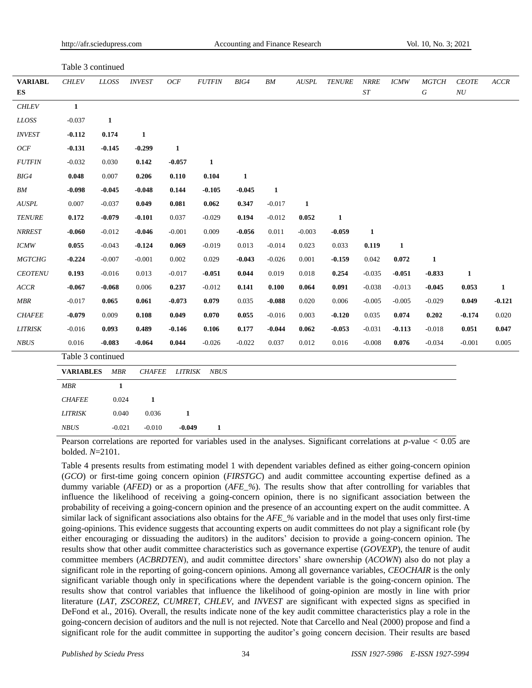| Table 3 continued                  |                   |              |               |              |               |              |              |          |               |                          |              |                          |                                    |              |
|------------------------------------|-------------------|--------------|---------------|--------------|---------------|--------------|--------------|----------|---------------|--------------------------|--------------|--------------------------|------------------------------------|--------------|
| <b>VARIABL</b><br>${\bf E}{\bf S}$ | <b>CHLEV</b>      | $\it LLOSS$  | <b>INVEST</b> | OCF          | <b>FUTFIN</b> | BIG4         | ${\it BM}$   | AUSPL    | <b>TENURE</b> | <b>NRRE</b><br>$\cal ST$ | <b>ICMW</b>  | <b>MGTCH</b><br>$\cal G$ | <b>CEOTE</b><br>${\cal N}{\cal U}$ | ACCR         |
| CHLEV                              | $\mathbf{1}$      |              |               |              |               |              |              |          |               |                          |              |                          |                                    |              |
| $\it LLOSS$                        | $-0.037$          | $\mathbf{1}$ |               |              |               |              |              |          |               |                          |              |                          |                                    |              |
| <b>INVEST</b>                      | $-0.112$          | 0.174        | $\mathbf{1}$  |              |               |              |              |          |               |                          |              |                          |                                    |              |
| OCF                                | $-0.131$          | $-0.145$     | $-0.299$      | $\mathbf{1}$ |               |              |              |          |               |                          |              |                          |                                    |              |
| $FUTFIN$                           | $-0.032$          | 0.030        | 0.142         | $-0.057$     | 1             |              |              |          |               |                          |              |                          |                                    |              |
| BIG4                               | 0.048             | 0.007        | 0.206         | 0.110        | 0.104         | $\mathbf{1}$ |              |          |               |                          |              |                          |                                    |              |
| BM                                 | $-0.098$          | $-0.045$     | $-0.048$      | 0.144        | $-0.105$      | $-0.045$     | $\mathbf{1}$ |          |               |                          |              |                          |                                    |              |
| AUSPL                              | 0.007             | $-0.037$     | 0.049         | 0.081        | 0.062         | 0.347        | $-0.017$     | 1        |               |                          |              |                          |                                    |              |
| <b>TENURE</b>                      | 0.172             | $-0.079$     | $-0.101$      | 0.037        | $-0.029$      | 0.194        | $-0.012$     | 0.052    | $\mathbf{1}$  |                          |              |                          |                                    |              |
| <b>NRREST</b>                      | $-0.060$          | $-0.012$     | $-0.046$      | $-0.001$     | 0.009         | $-0.056$     | 0.011        | $-0.003$ | $-0.059$      | $\mathbf{1}$             |              |                          |                                    |              |
| <b>ICMW</b>                        | 0.055             | $-0.043$     | $-0.124$      | 0.069        | $-0.019$      | 0.013        | $-0.014$     | 0.023    | 0.033         | 0.119                    | $\mathbf{1}$ |                          |                                    |              |
| <b>MGTCHG</b>                      | $-0.224$          | $-0.007$     | $-0.001$      | 0.002        | 0.029         | $-0.043$     | $-0.026$     | 0.001    | $-0.159$      | 0.042                    | 0.072        | $\mathbf{1}$             |                                    |              |
| CEOTENU                            | 0.193             | $-0.016$     | 0.013         | $-0.017$     | $-0.051$      | 0.044        | 0.019        | 0.018    | 0.254         | $-0.035$                 | $-0.051$     | $-0.833$                 | $\mathbf{1}$                       |              |
| ACCR                               | $-0.067$          | $-0.068$     | 0.006         | 0.237        | $-0.012$      | 0.141        | 0.100        | 0.064    | 0.091         | $-0.038$                 | $-0.013$     | $-0.045$                 | 0.053                              | $\mathbf{1}$ |
| $MBR$                              | $-0.017$          | 0.065        | 0.061         | $-0.073$     | 0.079         | 0.035        | $-0.088$     | 0.020    | 0.006         | $-0.005$                 | $-0.005$     | $-0.029$                 | 0.049                              | $-0.121$     |
| <b>CHAFEE</b>                      | $-0.079$          | 0.009        | 0.108         | 0.049        | 0.070         | 0.055        | $-0.016$     | 0.003    | $-0.120$      | 0.035                    | 0.074        | 0.202                    | $-0.174$                           | 0.020        |
| <b>LITRISK</b>                     | $-0.016$          | 0.093        | 0.489         | $-0.146$     | 0.106         | 0.177        | $-0.044$     | 0.062    | $-0.053$      | $-0.031$                 | $-0.113$     | $-0.018$                 | 0.051                              | 0.047        |
| $NBUS$                             | 0.016             | $-0.083$     | $-0.064$      | 0.044        | $-0.026$      | $-0.022$     | 0.037        | 0.012    | 0.016         | $-0.008$                 | 0.076        | $-0.034$                 | $-0.001$                           | 0.005        |
|                                    | Table 3 continued |              |               |              |               |              |              |          |               |                          |              |                          |                                    |              |
|                                    | <b>VARIABLES</b>  | $MBR$        | $\it{CHAFEE}$ | $LITRISK$    | <b>NBUS</b>   |              |              |          |               |                          |              |                          |                                    |              |
|                                    | MBR               | $\mathbf{1}$ |               |              |               |              |              |          |               |                          |              |                          |                                    |              |
|                                    | <b>CHAFEE</b>     | 0.024        | $\mathbf{1}$  |              |               |              |              |          |               |                          |              |                          |                                    |              |
|                                    | <b>LITRISK</b>    | 0.040        | 0.036         | 1            |               |              |              |          |               |                          |              |                          |                                    |              |
|                                    |                   |              |               |              |               |              |              |          |               |                          |              |                          |                                    |              |

Pearson correlations are reported for variables used in the analyses. Significant correlations at *p*-value < 0.05 are bolded. *N*=2101.

Table 4 presents results from estimating model 1 with dependent variables defined as either going-concern opinion (*GCO*) or first-time going concern opinion (*FIRSTGC*) and audit committee accounting expertise defined as a dummy variable (*AFED*) or as a proportion (*AFE\_%*). The results show that after controlling for variables that influence the likelihood of receiving a going-concern opinion, there is no significant association between the probability of receiving a going-concern opinion and the presence of an accounting expert on the audit committee. A similar lack of significant associations also obtains for the *AFE\_%* variable and in the model that uses only first-time going-opinions. This evidence suggests that accounting experts on audit committees do not play a significant role (by either encouraging or dissuading the auditors) in the auditors' decision to provide a going-concern opinion. The results show that other audit committee characteristics such as governance expertise (*GOVEXP*), the tenure of audit committee members (*ACBRDTEN*), and audit committee directors' share ownership (*ACOWN*) also do not play a significant role in the reporting of going-concern opinions. Among all governance variables, *CEOCHAIR* is the only significant variable though only in specifications where the dependent variable is the going-concern opinion. The results show that control variables that influence the likelihood of going-opinion are mostly in line with prior literature (*LAT*, *ZSCOREZ*, *CUMRET*, *CHLEV*, and *INVEST* are significant with expected signs as specified in DeFond et al., 2016). Overall, the results indicate none of the key audit committee characteristics play a role in the going-concern decision of auditors and the null is not rejected. Note that Carcello and Neal (2000) propose and find a significant role for the audit committee in supporting the auditor's going concern decision. Their results are based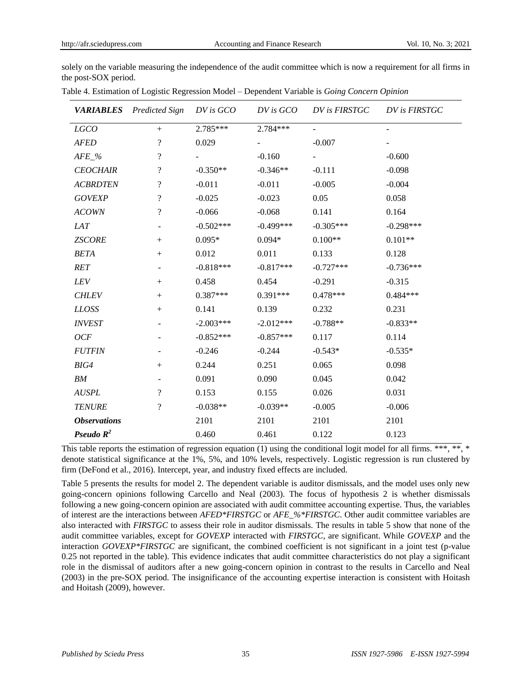solely on the variable measuring the independence of the audit committee which is now a requirement for all firms in the post-SOX period.

|                     | <b>VARIABLES</b> Predicted Sign | DV is GCO   | $DV$ is $GCO$ | DV is FIRSTGC | DV is FIRSTGC |
|---------------------|---------------------------------|-------------|---------------|---------------|---------------|
| LGCO                | $+$                             | 2.785***    | 2.784***      |               |               |
| <b>AFED</b>         | $\overline{\cdot}$              | 0.029       |               | $-0.007$      |               |
| $AFE_%$             | $\overline{\mathcal{L}}$        |             | $-0.160$      |               | $-0.600$      |
| <b>CEOCHAIR</b>     | $\overline{\mathcal{L}}$        | $-0.350**$  | $-0.346**$    | $-0.111$      | $-0.098$      |
| <b>ACBRDTEN</b>     | $\overline{\mathcal{L}}$        | $-0.011$    | $-0.011$      | $-0.005$      | $-0.004$      |
| <b>GOVEXP</b>       | $\overline{\mathcal{L}}$        | $-0.025$    | $-0.023$      | 0.05          | 0.058         |
| <b>ACOWN</b>        | $\overline{\mathcal{L}}$        | $-0.066$    | $-0.068$      | 0.141         | 0.164         |
| LAT                 | ÷                               | $-0.502***$ | $-0.499***$   | $-0.305***$   | $-0.298***$   |
| <b>ZSCORE</b>       |                                 | $0.095*$    | $0.094*$      | $0.100**$     | $0.101**$     |
| <b>BETA</b>         |                                 | 0.012       | 0.011         | 0.133         | 0.128         |
| RET                 |                                 | $-0.818***$ | $-0.817***$   | $-0.727***$   | $-0.736***$   |
| LEV                 |                                 | 0.458       | 0.454         | $-0.291$      | $-0.315$      |
| <b>CHLEV</b>        | $+$                             | $0.387***$  | $0.391***$    | $0.478***$    | $0.484***$    |
| <b>LLOSS</b>        | $+$                             | 0.141       | 0.139         | 0.232         | 0.231         |
| <b>INVEST</b>       |                                 | $-2.003***$ | $-2.012***$   | $-0.788**$    | $-0.833**$    |
| OCF                 |                                 | $-0.852***$ | $-0.857***$   | 0.117         | 0.114         |
| <b>FUTFIN</b>       |                                 | $-0.246$    | $-0.244$      | $-0.543*$     | $-0.535*$     |
| BIG4                | $+$                             | 0.244       | 0.251         | 0.065         | 0.098         |
| ${\it BM}$          |                                 | 0.091       | 0.090         | 0.045         | 0.042         |
| <b>AUSPL</b>        | $\overline{\mathcal{L}}$        | 0.153       | 0.155         | 0.026         | 0.031         |
| <b>TENURE</b>       | $\overline{\cdot}$              | $-0.038**$  | $-0.039**$    | $-0.005$      | $-0.006$      |
| <b>Observations</b> |                                 | 2101        | 2101          | 2101          | 2101          |
| Pseudo $R^2$        |                                 | 0.460       | 0.461         | 0.122         | 0.123         |

Table 4. Estimation of Logistic Regression Model – Dependent Variable is *Going Concern Opinion*

This table reports the estimation of regression equation (1) using the conditional logit model for all firms. \*\*\*, \*\*, \* denote statistical significance at the 1%, 5%, and 10% levels, respectively. Logistic regression is run clustered by firm (DeFond et al., 2016). Intercept, year, and industry fixed effects are included.

Table 5 presents the results for model 2. The dependent variable is auditor dismissals, and the model uses only new going-concern opinions following Carcello and Neal (2003). The focus of hypothesis 2 is whether dismissals following a new going-concern opinion are associated with audit committee accounting expertise. Thus, the variables of interest are the interactions between *AFED\*FIRSTGC* or *AFE\_%\*FIRSTGC*. Other audit committee variables are also interacted with *FIRSTGC* to assess their role in auditor dismissals. The results in table 5 show that none of the audit committee variables, except for *GOVEXP* interacted with *FIRSTGC,* are significant. While *GOVEXP* and the interaction *GOVEXP\*FIRSTGC* are significant, the combined coefficient is not significant in a joint test (p-value 0.25 not reported in the table). This evidence indicates that audit committee characteristics do not play a significant role in the dismissal of auditors after a new going-concern opinion in contrast to the results in Carcello and Neal (2003) in the pre-SOX period. The insignificance of the accounting expertise interaction is consistent with Hoitash and Hoitash (2009), however.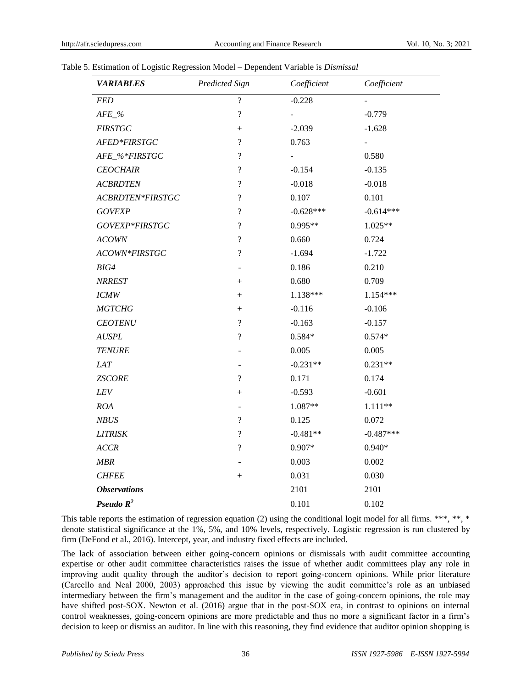## Table 5. Estimation of Logistic Regression Model – Dependent Variable is *Dismissal*

| <b>VARIABLES</b>    | Predicted Sign           | Coefficient | Coefficient    |
|---------------------|--------------------------|-------------|----------------|
| <b>FED</b>          | $\overline{\mathcal{L}}$ | $-0.228$    |                |
| $AFE_{\_\%}$        | $\overline{\mathcal{L}}$ |             | $-0.779$       |
| <b>FIRSTGC</b>      | $^{+}$                   | $-2.039$    | $-1.628$       |
| AFED*FIRSTGC        | $\overline{\mathcal{L}}$ | 0.763       | $\blacksquare$ |
| AFE_%*FIRSTGC       | $\overline{\mathcal{L}}$ | ÷,          | 0.580          |
| <b>CEOCHAIR</b>     | $\overline{\mathcal{L}}$ | $-0.154$    | $-0.135$       |
| <b>ACBRDTEN</b>     | $\overline{\mathcal{L}}$ | $-0.018$    | $-0.018$       |
| ACBRDTEN*FIRSTGC    | $\overline{\mathcal{L}}$ | 0.107       | 0.101          |
| <b>GOVEXP</b>       | $\overline{\mathcal{L}}$ | $-0.628***$ | $-0.614***$    |
| GOVEXP*FIRSTGC      | $\overline{\mathcal{L}}$ | $0.995**$   | 1.025**        |
| <b>ACOWN</b>        | $\overline{\mathcal{L}}$ | 0.660       | 0.724          |
| ACOWN*FIRSTGC       | $\overline{\mathcal{L}}$ | $-1.694$    | $-1.722$       |
| BIG4                |                          | 0.186       | 0.210          |
| <b>NRREST</b>       | $^{+}$                   | 0.680       | 0.709          |
| <b>ICMW</b>         | $^{+}$                   | 1.138***    | $1.154***$     |
| <b>MGTCHG</b>       | $^{+}$                   | $-0.116$    | $-0.106$       |
| <b>CEOTENU</b>      | $\overline{\mathcal{L}}$ | $-0.163$    | $-0.157$       |
| <b>AUSPL</b>        | $\overline{\mathcal{L}}$ | $0.584*$    | $0.574*$       |
| <b>TENURE</b>       |                          | 0.005       | 0.005          |
| LAT                 |                          | $-0.231**$  | $0.231**$      |
| <b>ZSCORE</b>       | $\overline{\mathcal{L}}$ | 0.171       | 0.174          |
| <b>LEV</b>          | $^{+}$                   | $-0.593$    | $-0.601$       |
| ROA                 |                          | 1.087**     | 1.111**        |
| <b>NBUS</b>         | $\overline{\mathcal{L}}$ | 0.125       | 0.072          |
| <b>LITRISK</b>      | $\overline{\cdot}$       | $-0.481**$  | $-0.487***$    |
| <b>ACCR</b>         | $\overline{\mathcal{L}}$ | $0.907*$    | $0.940*$       |
| MBR                 |                          | 0.003       | 0.002          |
| <b>CHFEE</b>        | $^{+}$                   | 0.031       | 0.030          |
| <b>Observations</b> |                          | 2101        | 2101           |
| Pseudo $R^2$        |                          | 0.101       | 0.102          |

This table reports the estimation of regression equation (2) using the conditional logit model for all firms. \*\*\*, \*\*, \* denote statistical significance at the 1%, 5%, and 10% levels, respectively. Logistic regression is run clustered by firm (DeFond et al., 2016). Intercept, year, and industry fixed effects are included.

The lack of association between either going-concern opinions or dismissals with audit committee accounting expertise or other audit committee characteristics raises the issue of whether audit committees play any role in improving audit quality through the auditor's decision to report going-concern opinions. While prior literature (Carcello and Neal 2000, 2003) approached this issue by viewing the audit committee's role as an unbiased intermediary between the firm's management and the auditor in the case of going-concern opinions, the role may have shifted post-SOX. Newton et al. (2016) argue that in the post-SOX era, in contrast to opinions on internal control weaknesses, going-concern opinions are more predictable and thus no more a significant factor in a firm's decision to keep or dismiss an auditor. In line with this reasoning, they find evidence that auditor opinion shopping is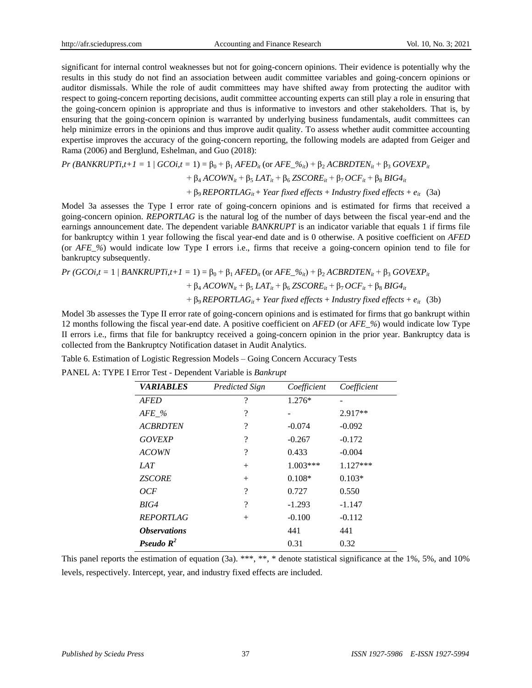significant for internal control weaknesses but not for going-concern opinions. Their evidence is potentially why the results in this study do not find an association between audit committee variables and going-concern opinions or auditor dismissals. While the role of audit committees may have shifted away from protecting the auditor with respect to going-concern reporting decisions, audit committee accounting experts can still play a role in ensuring that the going-concern opinion is appropriate and thus is informative to investors and other stakeholders. That is, by ensuring that the going-concern opinion is warranted by underlying business fundamentals, audit committees can help minimize errors in the opinions and thus improve audit quality. To assess whether audit committee accounting expertise improves the accuracy of the going-concern reporting, the following models are adapted from Geiger and Rama (2006) and Berglund, Eshelman, and Guo (2018):

$$
Pr(BANKRUPTi, t+1=1 \mid GCOi, t=1) = \beta_0 + \beta_1 A FED_{it} \text{ (or } AFE_2\%_{it}) + \beta_2 ACBRDTEN_{it} + \beta_3 GOVEXP_{it} + \beta_4 ACOWN_{it} + \beta_5 LAT_{it} + \beta_6 ZSCORE_{it} + \beta_7 OCF_{it} + \beta_8 BIG4_{it} + \beta_9 REPORTLAG_{it} + Year fixed effects + Industry fixed effects + e_{it} (3a)
$$

Model 3a assesses the Type I error rate of going-concern opinions and is estimated for firms that received a going-concern opinion. *REPORTLAG* is the natural log of the number of days between the fiscal year-end and the earnings announcement date. The dependent variable *BANKRUPT* is an indicator variable that equals 1 if firms file for bankruptcy within 1 year following the fiscal year-end date and is 0 otherwise. A positive coefficient on *AFED* (or *AFE\_%*) would indicate low Type I errors i.e., firms that receive a going-concern opinion tend to file for bankruptcy subsequently.

$$
Pr(GCOi, t = 1 | BANKRUPTi, t+1 = 1) = \beta_0 + \beta_1 A FED_{it} \text{ (or } AFE_2\%_{it}) + \beta_2 ACBRDTEN_{it} + \beta_3 GOVEXP_{it} + \beta_4 ACOWN_{it} + \beta_5 LAT_{it} + \beta_6 ZSCORE_{it} + \beta_7 OCF_{it} + \beta_8 BIG4_{it} + \beta_9 REPORTLAG_{it} + Year fixed effects + Industry fixed effects + e_{it} (3b)
$$

Model 3b assesses the Type II error rate of going-concern opinions and is estimated for firms that go bankrupt within 12 months following the fiscal year-end date. A positive coefficient on *AFED* (or *AFE\_%*) would indicate low Type II errors i.e., firms that file for bankruptcy received a going-concern opinion in the prior year. Bankruptcy data is collected from the Bankruptcy Notification dataset in Audit Analytics.

Table 6. Estimation of Logistic Regression Models – Going Concern Accuracy Tests

PANEL A: TYPE I Error Test - Dependent Variable is *Bankrupt*

| <i><b>VARIABLES</b></i>    | <b>Predicted Sign</b>    | Coefficient | Coefficient |
|----------------------------|--------------------------|-------------|-------------|
| <b>AFED</b>                | $\overline{\mathcal{C}}$ | $1.276*$    |             |
| $AFE_{\sim}$ %             | $\overline{\mathcal{C}}$ |             | 2.917**     |
| <b>ACBRDTEN</b>            | $\overline{\mathcal{L}}$ | $-0.074$    | $-0.092$    |
| <b>GOVEXP</b>              | $\overline{\mathcal{C}}$ | $-0.267$    | $-0.172$    |
| <b>ACOWN</b>               | ?                        | 0.433       | $-0.004$    |
| <i>LAT</i>                 | $^{+}$                   | $1.003***$  | $1.127***$  |
| <b>ZSCORE</b>              | $^{+}$                   | $0.108*$    | $0.103*$    |
| OCF                        | $\overline{\mathcal{C}}$ | 0.727       | 0.550       |
| BIG4                       | $\overline{\mathcal{C}}$ | $-1.293$    | $-1.147$    |
| <b>REPORTLAG</b>           | $^{+}$                   | $-0.100$    | $-0.112$    |
| <i><b>Observations</b></i> |                          | 441         | 441         |
| Pseudo $R^2$               |                          | 0.31        | 0.32        |

This panel reports the estimation of equation (3a). \*\*\*, \*\*, \* denote statistical significance at the 1%, 5%, and 10% levels, respectively. Intercept, year, and industry fixed effects are included.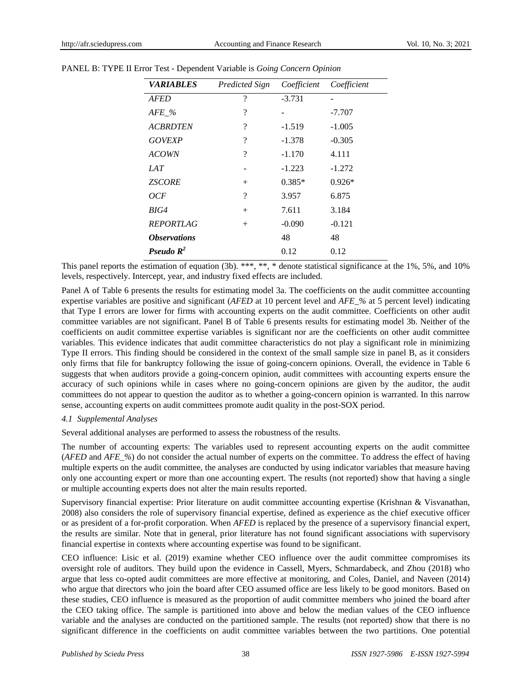| <b><i>VARIABLES</i></b>    | <b>Predicted Sign</b>    | Coefficient | Coefficient |
|----------------------------|--------------------------|-------------|-------------|
| <b>AFED</b>                | ?                        | $-3.731$    |             |
| $AFE\_%$                   | ?                        |             | $-7.707$    |
| <b>ACBRDTEN</b>            | ?                        | $-1.519$    | $-1.005$    |
| <b>GOVEXP</b>              | ?                        | $-1.378$    | $-0.305$    |
| <b>ACOWN</b>               | $\overline{\mathcal{C}}$ | $-1.170$    | 4.111       |
| IAT                        |                          | $-1.223$    | $-1.272$    |
| <b>ZSCORE</b>              | $^{+}$                   | $0.385*$    | $0.926*$    |
| OCF                        | ?                        | 3.957       | 6.875       |
| BIG4                       | $^{+}$                   | 7.611       | 3.184       |
| <i><b>REPORTLAG</b></i>    | $^{+}$                   | $-0.090$    | $-0.121$    |
| <i><b>Observations</b></i> |                          | 48          | 48          |
| Pseudo $R^2$               |                          | 0.12        | 0.12        |

#### PANEL B: TYPE II Error Test - Dependent Variable is *Going Concern Opinion*

This panel reports the estimation of equation (3b). \*\*\*, \*\*, \* denote statistical significance at the 1%, 5%, and 10% levels, respectively. Intercept, year, and industry fixed effects are included.

Panel A of Table 6 presents the results for estimating model 3a. The coefficients on the audit committee accounting expertise variables are positive and significant (*AFED* at 10 percent level and *AFE\_%* at 5 percent level) indicating that Type I errors are lower for firms with accounting experts on the audit committee. Coefficients on other audit committee variables are not significant. Panel B of Table 6 presents results for estimating model 3b. Neither of the coefficients on audit committee expertise variables is significant nor are the coefficients on other audit committee variables. This evidence indicates that audit committee characteristics do not play a significant role in minimizing Type II errors. This finding should be considered in the context of the small sample size in panel B, as it considers only firms that file for bankruptcy following the issue of going-concern opinions. Overall, the evidence in Table 6 suggests that when auditors provide a going-concern opinion, audit committees with accounting experts ensure the accuracy of such opinions while in cases where no going-concern opinions are given by the auditor, the audit committees do not appear to question the auditor as to whether a going-concern opinion is warranted. In this narrow sense, accounting experts on audit committees promote audit quality in the post-SOX period.

## *4.1 Supplemental Analyses*

Several additional analyses are performed to assess the robustness of the results.

The number of accounting experts: The variables used to represent accounting experts on the audit committee (*AFED* and *AFE\_%*) do not consider the actual number of experts on the committee. To address the effect of having multiple experts on the audit committee, the analyses are conducted by using indicator variables that measure having only one accounting expert or more than one accounting expert. The results (not reported) show that having a single or multiple accounting experts does not alter the main results reported.

Supervisory financial expertise: Prior literature on audit committee accounting expertise (Krishnan & Visvanathan, 2008) also considers the role of supervisory financial expertise, defined as experience as the chief executive officer or as president of a for-profit corporation. When *AFED* is replaced by the presence of a supervisory financial expert, the results are similar. Note that in general, prior literature has not found significant associations with supervisory financial expertise in contexts where accounting expertise was found to be significant.

CEO influence: Lisic et al. (2019) examine whether CEO influence over the audit committee compromises its oversight role of auditors. They build upon the evidence in Cassell, Myers, Schmardabeck, and Zhou (2018) who argue that less co-opted audit committees are more effective at monitoring, and Coles, Daniel, and Naveen (2014) who argue that directors who join the board after CEO assumed office are less likely to be good monitors. Based on these studies, CEO influence is measured as the proportion of audit committee members who joined the board after the CEO taking office. The sample is partitioned into above and below the median values of the CEO influence variable and the analyses are conducted on the partitioned sample. The results (not reported) show that there is no significant difference in the coefficients on audit committee variables between the two partitions. One potential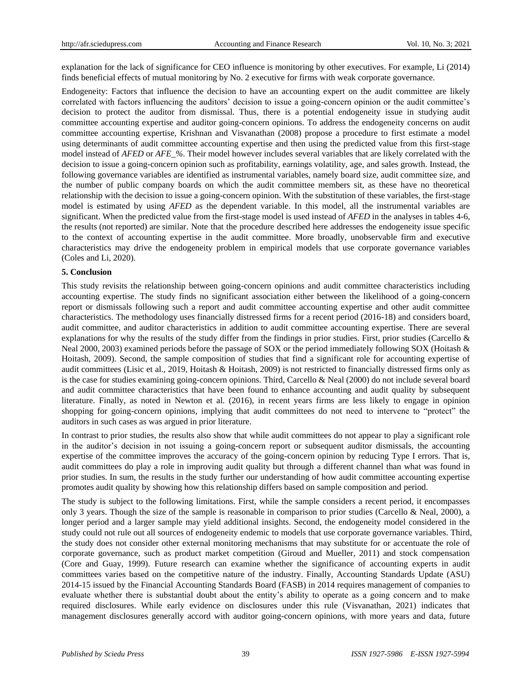explanation for the lack of significance for CEO influence is monitoring by other executives. For example, Li (2014) finds beneficial effects of mutual monitoring by No. 2 executive for firms with weak corporate governance.

Endogeneity: Factors that influence the decision to have an accounting expert on the audit committee are likely correlated with factors influencing the auditors' decision to issue a going-concern opinion or the audit committee's decision to protect the auditor from dismissal. Thus, there is a potential endogeneity issue in studying audit committee accounting expertise and auditor going-concern opinions. To address the endogeneity concerns on audit committee accounting expertise, Krishnan and Visvanathan (2008) propose a procedure to first estimate a model using determinants of audit committee accounting expertise and then using the predicted value from this first-stage model instead of *AFED* or *AFE\_%*. Their model however includes several variables that are likely correlated with the decision to issue a going-concern opinion such as profitability, earnings volatility, age, and sales growth. Instead, the following governance variables are identified as instrumental variables, namely board size, audit committee size, and the number of public company boards on which the audit committee members sit, as these have no theoretical relationship with the decision to issue a going-concern opinion. With the substitution of these variables, the first-stage model is estimated by using *AFED* as the dependent variable. In this model, all the instrumental variables are significant. When the predicted value from the first-stage model is used instead of *AFED* in the analyses in tables 4-6, the results (not reported) are similar. Note that the procedure described here addresses the endogeneity issue specific to the context of accounting expertise in the audit committee. More broadly, unobservable firm and executive characteristics may drive the endogeneity problem in empirical models that use corporate governance variables (Coles and Li, 2020).

#### **5. Conclusion**

This study revisits the relationship between going-concern opinions and audit committee characteristics including accounting expertise. The study finds no significant association either between the likelihood of a going-concern report or dismissals following such a report and audit committee accounting expertise and other audit committee characteristics. The methodology uses financially distressed firms for a recent period (2016-18) and considers board, audit committee, and auditor characteristics in addition to audit committee accounting expertise. There are several explanations for why the results of the study differ from the findings in prior studies. First, prior studies (Carcello  $\&$ Neal 2000, 2003) examined periods before the passage of SOX or the period immediately following SOX (Hoitash & Hoitash, 2009). Second, the sample composition of studies that find a significant role for accounting expertise of audit committees (Lisic et al., 2019, Hoitash & Hoitash, 2009) is not restricted to financially distressed firms only as is the case for studies examining going-concern opinions. Third, Carcello & Neal (2000) do not include several board and audit committee characteristics that have been found to enhance accounting and audit quality by subsequent literature. Finally, as noted in Newton et al. (2016), in recent years firms are less likely to engage in opinion shopping for going-concern opinions, implying that audit committees do not need to intervene to "protect" the auditors in such cases as was argued in prior literature.

In contrast to prior studies, the results also show that while audit committees do not appear to play a significant role in the auditor's decision in not issuing a going-concern report or subsequent auditor dismissals, the accounting expertise of the committee improves the accuracy of the going-concern opinion by reducing Type I errors. That is, audit committees do play a role in improving audit quality but through a different channel than what was found in prior studies. In sum, the results in the study further our understanding of how audit committee accounting expertise promotes audit quality by showing how this relationship differs based on sample composition and period.

The study is subject to the following limitations. First, while the sample considers a recent period, it encompasses only 3 years. Though the size of the sample is reasonable in comparison to prior studies (Carcello & Neal, 2000), a longer period and a larger sample may yield additional insights. Second, the endogeneity model considered in the study could not rule out all sources of endogeneity endemic to models that use corporate governance variables. Third, the study does not consider other external monitoring mechanisms that may substitute for or accentuate the role of corporate governance, such as product market competition (Giroud and Mueller, 2011) and stock compensation (Core and Guay, 1999). Future research can examine whether the significance of accounting experts in audit committees varies based on the competitive nature of the industry. Finally, Accounting Standards Update (ASU) 2014-15 issued by the Financial Accounting Standards Board (FASB) in 2014 requires management of companies to evaluate whether there is substantial doubt about the entity's ability to operate as a going concern and to make required disclosures. While early evidence on disclosures under this rule (Visvanathan, 2021) indicates that management disclosures generally accord with auditor going-concern opinions, with more years and data, future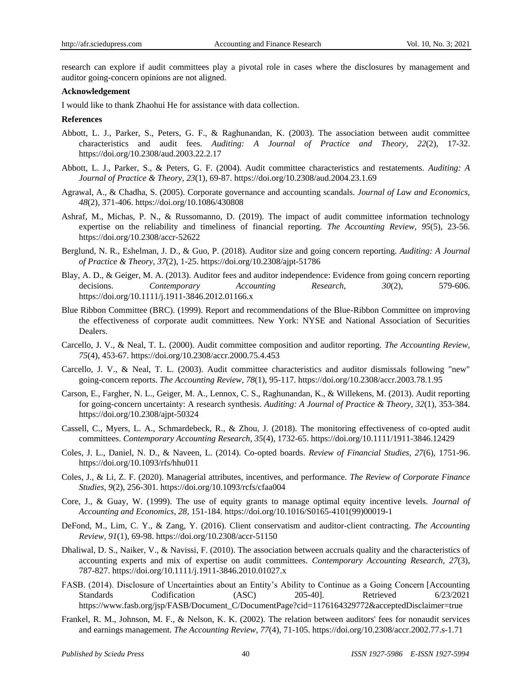research can explore if audit committees play a pivotal role in cases where the disclosures by management and auditor going-concern opinions are not aligned.

#### **Acknowledgement**

I would like to thank Zhaohui He for assistance with data collection.

#### **References**

- Abbott, L. J., Parker, S., Peters, G. F., & Raghunandan, K. (2003). The association between audit committee characteristics and audit fees. *Auditing: A Journal of Practice and Theory, 22*(2), 17-32. <https://doi.org/10.2308/aud.2003.22.2.17>
- Abbott, L. J., Parker, S., & Peters, G. F. (2004). Audit committee characteristics and restatements. *Auditing: A Journal of Practice & Theory, 23*(1), 69-87.<https://doi.org/10.2308/aud.2004.23.1.69>
- Agrawal, A., & Chadha, S. (2005). Corporate governance and accounting scandals. *Journal of Law and Economics, 48*(2), 371-406.<https://doi.org/10.1086/430808>
- Ashraf, M., Michas, P. N., & Russomanno, D. (2019). The impact of audit committee information technology expertise on the reliability and timeliness of financial reporting. *The Accounting Review, 95*(5), 23-56. <https://doi.org/10.2308/accr-52622>
- Berglund, N. R., Eshelman, J. D., & Guo, P. (2018). Auditor size and going concern reporting. *Auditing: A Journal of Practice & Theory, 37*(2), 1-25.<https://doi.org/10.2308/ajpt-51786>
- Blay, A. D., & Geiger, M. A. (2013). Auditor fees and auditor independence: Evidence from going concern reporting decisions. *Contemporary Accounting Research, 30*(2), 579-606. <https://doi.org/10.1111/j.1911-3846.2012.01166.x>
- Blue Ribbon Committee (BRC). (1999). Report and recommendations of the Blue-Ribbon Committee on improving the effectiveness of corporate audit committees. New York: NYSE and National Association of Securities Dealers.
- Carcello, J. V., & Neal, T. L. (2000). Audit committee composition and auditor reporting. *The Accounting Review, 75*(4), 453-67.<https://doi.org/10.2308/accr.2000.75.4.453>
- Carcello, J. V., & Neal, T. L. (2003). Audit committee characteristics and auditor dismissals following "new" going-concern reports. *The Accounting Review, 78*(1), 95-117.<https://doi.org/10.2308/accr.2003.78.1.95>
- Carson, E., Fargher, N. L., Geiger, M. A., Lennox, C. S., Raghunandan, K., & Willekens, M. (2013). Audit reporting for going-concern uncertainty: A research synthesis. *Auditing: A Journal of Practice & Theory, 32*(1), 353-384. <https://doi.org/10.2308/ajpt-50324>
- Cassell, C., Myers, L. A., Schmardebeck, R., & Zhou, J. (2018). The monitoring effectiveness of co-opted audit committees. *Contemporary Accounting Research, 35*(4), 1732-65.<https://doi.org/10.1111/1911-3846.12429>
- Coles, J. L., Daniel, N. D., & Naveen, L. (2014). Co-opted boards. *Review of Financial Studies, 27*(6), 1751-96. <https://doi.org/10.1093/rfs/hhu011>
- Coles, J., & Li, Z. F. (2020). Managerial attributes, incentives, and performance. *The Review of Corporate Finance Studies, 9*(2), 256-301.<https://doi.org/10.1093/rcfs/cfaa004>
- Core, J., & Guay, W. (1999). The use of equity grants to manage optimal equity incentive levels. *Journal of Accounting and Economics, 28*, 151-184[. https://doi.org/10.1016/S0165-4101\(99\)00019-1](https://doi.org/10.1016/S0165-4101(99)00019-1)
- DeFond, M., Lim, C. Y., & Zang, Y. (2016). Client conservatism and auditor-client contracting. *The Accounting Review, 91*(1), 69-98.<https://doi.org/10.2308/accr-51150>
- Dhaliwal, D. S., Naiker, V., & Navissi, F. (2010). The association between accruals quality and the characteristics of accounting experts and mix of expertise on audit committees. *Contemporary Accounting Research, 27*(3), 787-827.<https://doi.org/10.1111/j.1911-3846.2010.01027.x>
- FASB. (2014). Disclosure of Uncertainties about an Entity's Ability to Continue as a Going Concern [Accounting Standards Codification (ASC) 205-40]. Retrieved 6/23/2021 [https://www.fasb.org/jsp/FASB/Document\\_C/DocumentPage?cid=1176164329772&acceptedDisclaimer=true](https://www.fasb.org/jsp/FASB/Document_C/DocumentPage?cid=1176164329772&acceptedDisclaimer=true)
- Frankel, R. M., Johnson, M. F., & Nelson, K. K. (2002). The relation between auditors' fees for nonaudit services and earnings management. *The Accounting Review, 77*(4), 71-105[. https://doi.org/10.2308/accr.2002.77.s-1.71](https://doi.org/10.2308/accr.2002.77.s-1.71)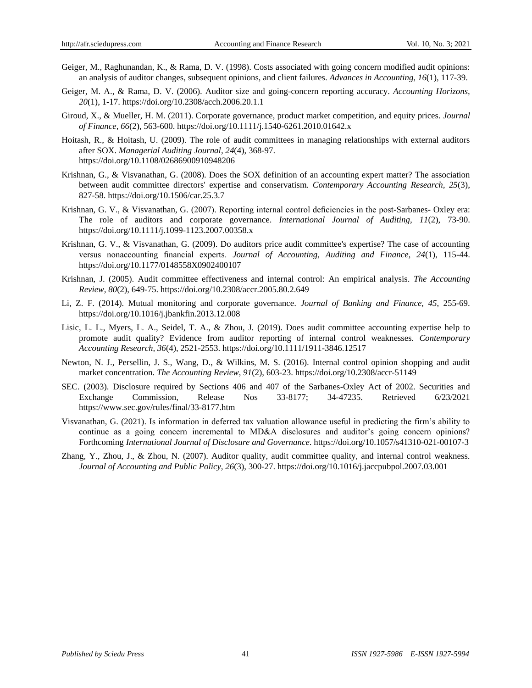- Geiger, M., Raghunandan, K., & Rama, D. V. (1998). Costs associated with going concern modified audit opinions: an analysis of auditor changes, subsequent opinions, and client failures. *Advances in Accounting, 16*(1), 117-39.
- Geiger, M. A., & Rama, D. V. (2006). Auditor size and going-concern reporting accuracy. *Accounting Horizons, 20*(1), 1-17.<https://doi.org/10.2308/acch.2006.20.1.1>
- Giroud, X., & Mueller, H. M. (2011). Corporate governance, product market competition, and equity prices. *Journal of Finance, 66*(2), 563-600.<https://doi.org/10.1111/j.1540-6261.2010.01642.x>
- Hoitash, R., & Hoitash, U. (2009). The role of audit committees in managing relationships with external auditors after SOX. *Managerial Auditing Journal, 24*(4), 368-97. <https://doi.org/10.1108/02686900910948206>
- Krishnan, G., & Visvanathan, G. (2008). Does the SOX definition of an accounting expert matter? The association between audit committee directors' expertise and conservatism. *Contemporary Accounting Research, 25*(3), 827-58.<https://doi.org/10.1506/car.25.3.7>
- Krishnan, G. V., & Visvanathan, G. (2007). Reporting internal control deficiencies in the post-Sarbanes- Oxley era: The role of auditors and corporate governance. *International Journal of Auditing, 11*(2), 73-90. <https://doi.org/10.1111/j.1099-1123.2007.00358.x>
- Krishnan, G. V., & Visvanathan, G. (2009). Do auditors price audit committee's expertise? The case of accounting versus nonaccounting financial experts. *Journal of Accounting, Auditing and Finance, 24*(1), 115-44. <https://doi.org/10.1177/0148558X0902400107>
- Krishnan, J. (2005). Audit committee effectiveness and internal control: An empirical analysis. *The Accounting Review, 80*(2), 649-75.<https://doi.org/10.2308/accr.2005.80.2.649>
- Li, Z. F. (2014). Mutual monitoring and corporate governance. *Journal of Banking and Finance, 45*, 255-69. <https://doi.org/10.1016/j.jbankfin.2013.12.008>
- Lisic, L. L., Myers, L. A., Seidel, T. A., & Zhou, J. (2019). Does audit committee accounting expertise help to promote audit quality? Evidence from auditor reporting of internal control weaknesses. *Contemporary Accounting Research, 36*(4), 2521-2553.<https://doi.org/10.1111/1911-3846.12517>
- Newton, N. J., Persellin, J. S., Wang, D., & Wilkins, M. S. (2016). Internal control opinion shopping and audit market concentration. *The Accounting Review, 91*(2), 603-23.<https://doi.org/10.2308/accr-51149>
- SEC. (2003). Disclosure required by Sections 406 and 407 of the Sarbanes-Oxley Act of 2002. Securities and Exchange Commission, Release Nos 33-8177; 34-47235. Retrieved 6/23/2021 <https://www.sec.gov/rules/final/33-8177.htm>
- Visvanathan, G. (2021). Is information in deferred tax valuation allowance useful in predicting the firm's ability to continue as a going concern incremental to MD&A disclosures and auditor's going concern opinions? Forthcoming *International Journal of Disclosure and Governance*. https://doi.org/10.1057/s41310-021-00107-3
- Zhang, Y., Zhou, J., & Zhou, N. (2007). Auditor quality, audit committee quality, and internal control weakness. *Journal of Accounting and Public Policy, 26*(3), 300-27[. https://doi.org/10.1016/j.jaccpubpol.2007.03.001](https://doi.org/10.1016/j.jaccpubpol.2007.03.001)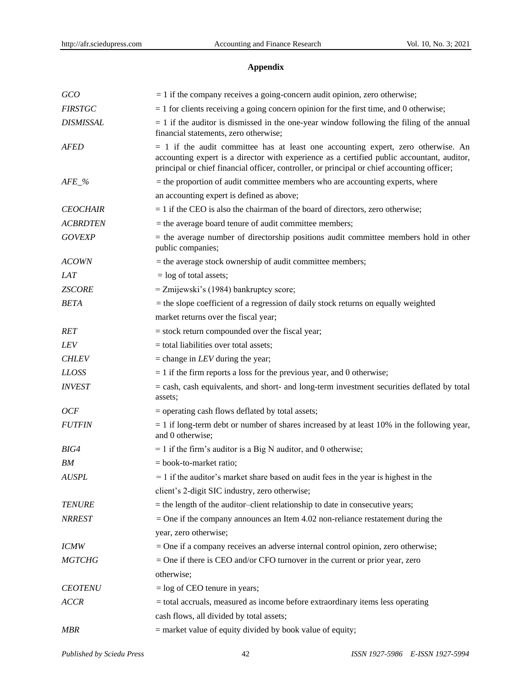## **Appendix**

| GCO              | $= 1$ if the company receives a going-concern audit opinion, zero otherwise;                                                                                                                                                                                                     |
|------------------|----------------------------------------------------------------------------------------------------------------------------------------------------------------------------------------------------------------------------------------------------------------------------------|
| <b>FIRSTGC</b>   | $=$ 1 for clients receiving a going concern opinion for the first time, and 0 otherwise;                                                                                                                                                                                         |
| <b>DISMISSAL</b> | $= 1$ if the auditor is dismissed in the one-year window following the filing of the annual<br>financial statements, zero otherwise;                                                                                                                                             |
| <b>AFED</b>      | $= 1$ if the audit committee has at least one accounting expert, zero otherwise. An<br>accounting expert is a director with experience as a certified public accountant, auditor,<br>principal or chief financial officer, controller, or principal or chief accounting officer; |
| $AFE_{\_\%}$     | $=$ the proportion of audit committee members who are accounting experts, where                                                                                                                                                                                                  |
|                  | an accounting expert is defined as above;                                                                                                                                                                                                                                        |
| <b>CEOCHAIR</b>  | $= 1$ if the CEO is also the chairman of the board of directors, zero otherwise;                                                                                                                                                                                                 |
| <b>ACBRDTEN</b>  | = the average board tenure of audit committee members;                                                                                                                                                                                                                           |
| <b>GOVEXP</b>    | $=$ the average number of directorship positions audit committee members hold in other<br>public companies;                                                                                                                                                                      |
| <b>ACOWN</b>     | $=$ the average stock ownership of audit committee members;                                                                                                                                                                                                                      |
| <b>LAT</b>       | $=$ log of total assets;                                                                                                                                                                                                                                                         |
| <b>ZSCORE</b>    | = Zmijewski's (1984) bankruptcy score;                                                                                                                                                                                                                                           |
| <b>BETA</b>      | $=$ the slope coefficient of a regression of daily stock returns on equally weighted                                                                                                                                                                                             |
|                  | market returns over the fiscal year;                                                                                                                                                                                                                                             |
| <b>RET</b>       | $=$ stock return compounded over the fiscal year;                                                                                                                                                                                                                                |
| <b>LEV</b>       | = total liabilities over total assets;                                                                                                                                                                                                                                           |
| <b>CHLEV</b>     | $=$ change in <i>LEV</i> during the year;                                                                                                                                                                                                                                        |
| <b>LLOSS</b>     | $= 1$ if the firm reports a loss for the previous year, and 0 otherwise;                                                                                                                                                                                                         |
| <b>INVEST</b>    | $=$ cash, cash equivalents, and short- and long-term investment securities deflated by total<br>assets;                                                                                                                                                                          |
| OCF              | = operating cash flows deflated by total assets;                                                                                                                                                                                                                                 |
| <b>FUTFIN</b>    | $= 1$ if long-term debt or number of shares increased by at least 10% in the following year,<br>and 0 otherwise;                                                                                                                                                                 |
| BIG4             | $= 1$ if the firm's auditor is a Big N auditor, and 0 otherwise;                                                                                                                                                                                                                 |
| BM               | $=$ book-to-market ratio;                                                                                                                                                                                                                                                        |
| <b>AUSPL</b>     | $= 1$ if the auditor's market share based on audit fees in the year is highest in the                                                                                                                                                                                            |
|                  | client's 2-digit SIC industry, zero otherwise;                                                                                                                                                                                                                                   |
| <b>TENURE</b>    | = the length of the auditor-client relationship to date in consecutive years;                                                                                                                                                                                                    |
| <b>NRREST</b>    | $=$ One if the company announces an Item 4.02 non-reliance restatement during the                                                                                                                                                                                                |
|                  | year, zero otherwise;                                                                                                                                                                                                                                                            |
| <b>ICMW</b>      | = One if a company receives an adverse internal control opinion, zero otherwise;                                                                                                                                                                                                 |
| <b>MGTCHG</b>    | $=$ One if there is CEO and/or CFO turnover in the current or prior year, zero                                                                                                                                                                                                   |
|                  | otherwise;                                                                                                                                                                                                                                                                       |
| <b>CEOTENU</b>   | $=$ log of CEO tenure in years;                                                                                                                                                                                                                                                  |
| <b>ACCR</b>      | = total accruals, measured as income before extraordinary items less operating                                                                                                                                                                                                   |
|                  | cash flows, all divided by total assets;                                                                                                                                                                                                                                         |
| <b>MBR</b>       | = market value of equity divided by book value of equity;                                                                                                                                                                                                                        |